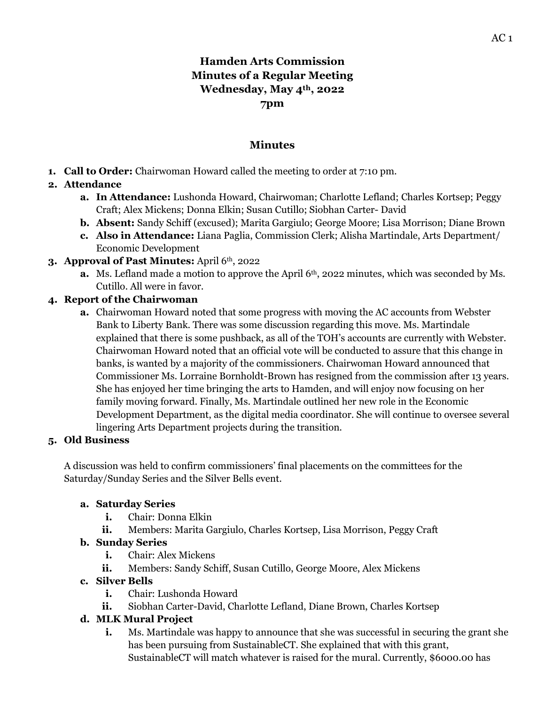# **Hamden Arts Commission Minutes of a Regular Meeting Wednesday, May 4th, 2022 7pm**

#### **Minutes**

**1. Call to Order:** Chairwoman Howard called the meeting to order at 7:10 pm.

# **2. Attendance**

- **a. In Attendance:** Lushonda Howard, Chairwoman; Charlotte Lefland; Charles Kortsep; Peggy Craft; Alex Mickens; Donna Elkin; Susan Cutillo; Siobhan Carter- David
- **b. Absent:** Sandy Schiff (excused); Marita Gargiulo; George Moore; Lisa Morrison; Diane Brown
- **c. Also in Attendance:** Liana Paglia, Commission Clerk; Alisha Martindale, Arts Department/ Economic Development
- **3. Approval of Past Minutes:** April 6th, 2022
	- **a.** Ms. Lefland made a motion to approve the April 6<sup>th</sup>, 2022 minutes, which was seconded by Ms. Cutillo. All were in favor.

#### **4. Report of the Chairwoman**

**a.** Chairwoman Howard noted that some progress with moving the AC accounts from Webster Bank to Liberty Bank. There was some discussion regarding this move. Ms. Martindale explained that there is some pushback, as all of the TOH's accounts are currently with Webster. Chairwoman Howard noted that an official vote will be conducted to assure that this change in banks, is wanted by a majority of the commissioners. Chairwoman Howard announced that Commissioner Ms. Lorraine Bornholdt-Brown has resigned from the commission after 13 years. She has enjoyed her time bringing the arts to Hamden, and will enjoy now focusing on her family moving forward. Finally, Ms. Martindale outlined her new role in the Economic Development Department, as the digital media coordinator. She will continue to oversee several lingering Arts Department projects during the transition.

#### **5. Old Business**

A discussion was held to confirm commissioners' final placements on the committees for the Saturday/Sunday Series and the Silver Bells event.

#### **a. Saturday Series**

- **i.** Chair: Donna Elkin
- **ii.** Members: Marita Gargiulo, Charles Kortsep, Lisa Morrison, Peggy Craft

# **b. Sunday Series**

- **i.** Chair: Alex Mickens
- **ii.** Members: Sandy Schiff, Susan Cutillo, George Moore, Alex Mickens

#### **c. Silver Bells**

- **i.** Chair: Lushonda Howard
- **ii.** Siobhan Carter-David, Charlotte Lefland, Diane Brown, Charles Kortsep

# **d. MLK Mural Project**

**i.** Ms. Martindale was happy to announce that she was successful in securing the grant she has been pursuing from SustainableCT. She explained that with this grant, SustainableCT will match whatever is raised for the mural. Currently, \$6000.00 has